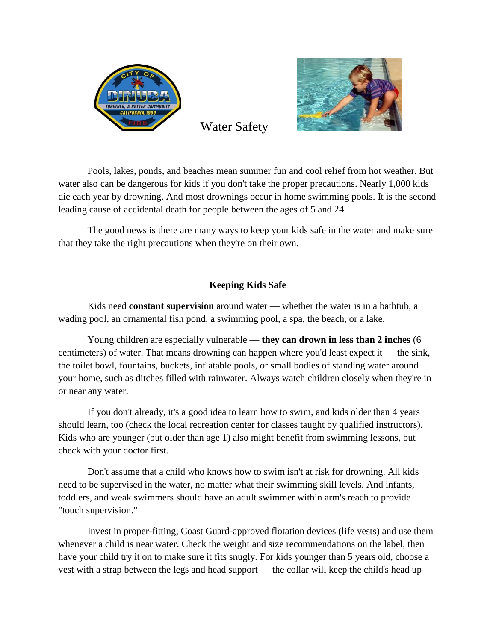



Water Safety

Pools, lakes, ponds, and beaches mean summer fun and cool relief from hot weather. But water also can be dangerous for kids if you don't take the proper precautions. Nearly 1,000 kids die each year by drowning. And most drownings occur in home swimming pools. It is the second leading cause of accidental death for people between the ages of 5 and 24.

The good news is there are many ways to keep your kids safe in the water and make sure that they take the right precautions when they're on their own.

## **Keeping Kids Safe**

Kids need **constant supervision** around water — whether the water is in a bathtub, a wading pool, an ornamental fish pond, a swimming pool, a spa, the beach, or a lake.

Young children are especially vulnerable — **they can drown in less than 2 inches** (6 centimeters) of water. That means drowning can happen where you'd least expect it — the sink, the toilet bowl, fountains, buckets, inflatable pools, or small bodies of standing water around your home, such as ditches filled with rainwater. Always watch children closely when they're in or near any water.

If you don't already, it's a good idea to learn how to swim, and kids older than 4 years should learn, too (check the local recreation center for classes taught by qualified instructors). Kids who are younger (but older than age 1) also might benefit from swimming lessons, but check with your doctor first.

Don't assume that a child who knows how to swim isn't at risk for drowning. All kids need to be supervised in the water, no matter what their swimming skill levels. And infants, toddlers, and weak swimmers should have an adult swimmer within arm's reach to provide "touch supervision."

Invest in proper-fitting, Coast Guard-approved flotation devices (life vests) and use them whenever a child is near water. Check the weight and size recommendations on the label, then have your child try it on to make sure it fits snugly. For kids younger than 5 years old, choose a vest with a strap between the legs and head support — the collar will keep the child's head up